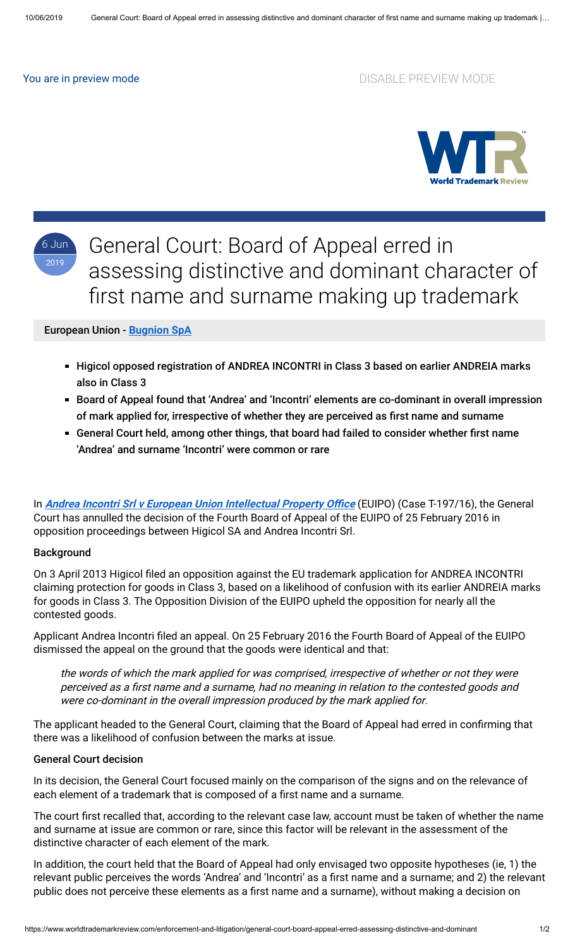You are in preview mode **DISABLE PREVIEW MODE** 



6 Jun 2019

General Court: Board of Appeal erred in assessing distinctive and dominant character of first name and surname making up trademark

## European Union - **[Bugnion SpA](https://www.worldtrademarkreview.com/Daily/Contributors#Italy)**

- Higicol opposed registration of ANDREA INCONTRI in Class 3 based on earlier ANDREIA marks also in Class 3
- Board of Appeal found that 'Andrea' and 'Incontri' elements are co-dominant in overall impression of mark applied for, irrespective of whether they are perceived as first name and surname
- General Court held, among other things, that board had failed to consider whether first name 'Andrea' and surname 'Incontri' were common or rare

In **Andrea Incontri Srl v European Union Intellectual Property Office** (EUIPO) (Case T-197/16), the General Court has annulled the decision of the Fourth Board of Appeal of the EUIPO of 25 February 2016 in opposition proceedings between Higicol SA and Andrea Incontri Srl.

#### Background

On 3 April 2013 Higicol filed an opposition against the EU trademark application for ANDREA INCONTRI claiming protection for goods in Class 3, based on a likelihood of confusion with its earlier ANDREIA marks for goods in Class 3. The Opposition Division of the EUIPO upheld the opposition for nearly all the contested goods.

Applicant Andrea Incontri filed an appeal. On 25 February 2016 the Fourth Board of Appeal of the EUIPO dismissed the appeal on the ground that the goods were identical and that:

the words of which the mark applied for was comprised, irrespective of whether or not they were perceived as a first name and a surname, had no meaning in relation to the contested goods and were co-dominant in the overall impression produced by the mark applied for.

The applicant headed to the General Court, claiming that the Board of Appeal had erred in confirming that there was a likelihood of confusion between the marks at issue.

### General Court decision

In its decision, the General Court focused mainly on the comparison of the signs and on the relevance of each element of a trademark that is composed of a first name and a surname.

The court first recalled that, according to the relevant case law, account must be taken of whether the name and surname at issue are common or rare, since this factor will be relevant in the assessment of the distinctive character of each element of the mark.

In addition, the court held that the Board of Appeal had only envisaged two opposite hypotheses (ie, 1) the relevant public perceives the words 'Andrea' and 'Incontri' as a first name and a surname; and 2) the relevant public does not perceive these elements as a first name and a surname), without making a decision on